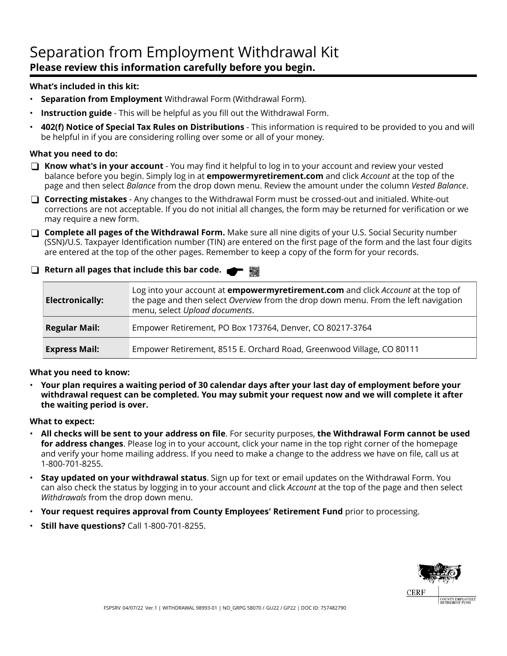## Separation from Employment Withdrawal Kit **Please review this information carefully before you begin.**

### **What's included in this kit:**

- **Separation from Employment** Withdrawal Form (Withdrawal Form).
- **Instruction guide** This will be helpful as you fill out the Withdrawal Form.
- **402(f) Notice of Special Tax Rules on Distributions**  This information is required to be provided to you and will be helpful in if you are considering rolling over some or all of your money.

### **What you need to do:**

- **Know what's in your account** You may find it helpful to log in to your account and review your vested balance before you begin. Simply log in at **empowermyretirement.com** and click *Account* at the top of the page and then select *Balance* from the drop down menu. Review the amount under the column *Vested Balance*.
- **Correcting mistakes** Any changes to the Withdrawal Form must be crossed-out and initialed. White-out corrections are not acceptable. If you do not initial all changes, the form may be returned for verification or we may require a new form.
- **Complete all pages of the Withdrawal Form.** Make sure all nine digits of your U.S. Social Security number (SSN)/U.S. Taxpayer Identification number (TIN) are entered on the first page of the form and the last four digits are entered at the top of the other pages. Remember to keep a copy of the form for your records.
- **Return all pages that include this bar code.**

| <b>Electronically:</b> | Log into your account at <b>empowermyretirement.com</b> and click Account at the top of<br>the page and then select Overview from the drop down menu. From the left navigation<br>menu, select Upload documents. |
|------------------------|------------------------------------------------------------------------------------------------------------------------------------------------------------------------------------------------------------------|
| <b>Regular Mail:</b>   | Empower Retirement, PO Box 173764, Denver, CO 80217-3764                                                                                                                                                         |
| <b>Express Mail:</b>   | Empower Retirement, 8515 E. Orchard Road, Greenwood Village, CO 80111                                                                                                                                            |

### **What you need to know:**

• **Your plan requires a waiting period of 30 calendar days after your last day of employment before your withdrawal request can be completed. You may submit your request now and we will complete it after the waiting period is over.**

### **What to expect:**

- **All checks will be sent to your address on file**. For security purposes, **the Withdrawal Form cannot be used for address changes**. Please log in to your account, click your name in the top right corner of the homepage and verify your home mailing address. If you need to make a change to the address we have on file, call us at 1-800-701-8255.
- **Stay updated on your withdrawal status**. Sign up for text or email updates on the Withdrawal Form. You can also check the status by logging in to your account and click *Account* at the top of the page and then select *Withdrawals* from the drop down menu.
- **Your request requires approval from County Employees' Retirement Fund** prior to processing.
- **Still have questions?** Call 1-800-701-8255.

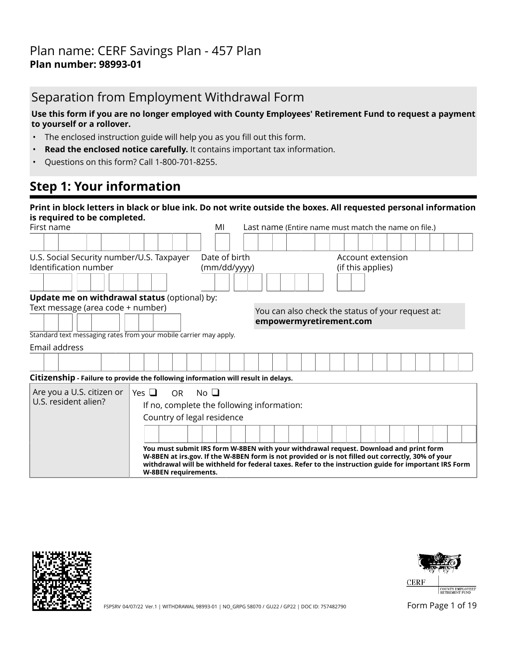## Separation from Employment Withdrawal Form

### **Use this form if you are no longer employed with County Employees' Retirement Fund to request a payment to yourself or a rollover.**

- The enclosed instruction guide will help you as you fill out this form.
- **Read the enclosed notice carefully.** It contains important tax information.
- Questions on this form? Call 1-800-701-8255.

## **Step 1: Your information**

| Print in block letters in black or blue ink. Do not write outside the boxes. All requested personal information<br>is required to be completed. |                                                                                                                                                                                                                                                                                                                            |                                                      |                                                   |  |  |  |  |  |
|-------------------------------------------------------------------------------------------------------------------------------------------------|----------------------------------------------------------------------------------------------------------------------------------------------------------------------------------------------------------------------------------------------------------------------------------------------------------------------------|------------------------------------------------------|---------------------------------------------------|--|--|--|--|--|
| First name                                                                                                                                      | MI                                                                                                                                                                                                                                                                                                                         | Last name (Entire name must match the name on file.) |                                                   |  |  |  |  |  |
|                                                                                                                                                 |                                                                                                                                                                                                                                                                                                                            |                                                      |                                                   |  |  |  |  |  |
| U.S. Social Security number/U.S. Taxpayer                                                                                                       | Date of birth                                                                                                                                                                                                                                                                                                              |                                                      | Account extension                                 |  |  |  |  |  |
| Identification number                                                                                                                           | (mm/dd/yyyy)                                                                                                                                                                                                                                                                                                               |                                                      | (if this applies)                                 |  |  |  |  |  |
|                                                                                                                                                 |                                                                                                                                                                                                                                                                                                                            |                                                      |                                                   |  |  |  |  |  |
| Update me on withdrawal status (optional) by:                                                                                                   |                                                                                                                                                                                                                                                                                                                            |                                                      |                                                   |  |  |  |  |  |
| Text message (area code + number)                                                                                                               |                                                                                                                                                                                                                                                                                                                            |                                                      | You can also check the status of your request at: |  |  |  |  |  |
|                                                                                                                                                 |                                                                                                                                                                                                                                                                                                                            | empowermyretirement.com                              |                                                   |  |  |  |  |  |
| Standard text messaging rates from your mobile carrier may apply.                                                                               |                                                                                                                                                                                                                                                                                                                            |                                                      |                                                   |  |  |  |  |  |
| Email address                                                                                                                                   |                                                                                                                                                                                                                                                                                                                            |                                                      |                                                   |  |  |  |  |  |
|                                                                                                                                                 |                                                                                                                                                                                                                                                                                                                            |                                                      |                                                   |  |  |  |  |  |
| Citizenship - Failure to provide the following information will result in delays.                                                               |                                                                                                                                                                                                                                                                                                                            |                                                      |                                                   |  |  |  |  |  |
| Are you a U.S. citizen or<br>Yes $\Box$                                                                                                         | No <sub>1</sub><br><b>OR</b>                                                                                                                                                                                                                                                                                               |                                                      |                                                   |  |  |  |  |  |
| U.S. resident alien?                                                                                                                            | If no, complete the following information:                                                                                                                                                                                                                                                                                 |                                                      |                                                   |  |  |  |  |  |
|                                                                                                                                                 | Country of legal residence                                                                                                                                                                                                                                                                                                 |                                                      |                                                   |  |  |  |  |  |
|                                                                                                                                                 |                                                                                                                                                                                                                                                                                                                            |                                                      |                                                   |  |  |  |  |  |
|                                                                                                                                                 | You must submit IRS form W-8BEN with your withdrawal request. Download and print form<br>W-8BEN at irs.gov. If the W-8BEN form is not provided or is not filled out correctly, 30% of your<br>withdrawal will be withheld for federal taxes. Refer to the instruction guide for important IRS Form<br>W-8BEN requirements. |                                                      |                                                   |  |  |  |  |  |





FSPSRV 04/07/22 Ver.1 | WITHDRAWAL 98993-01 | NO\_GRPG 58070 / GU22 / GP22 | DOC ID: 757482790 FORM Page 1 of 19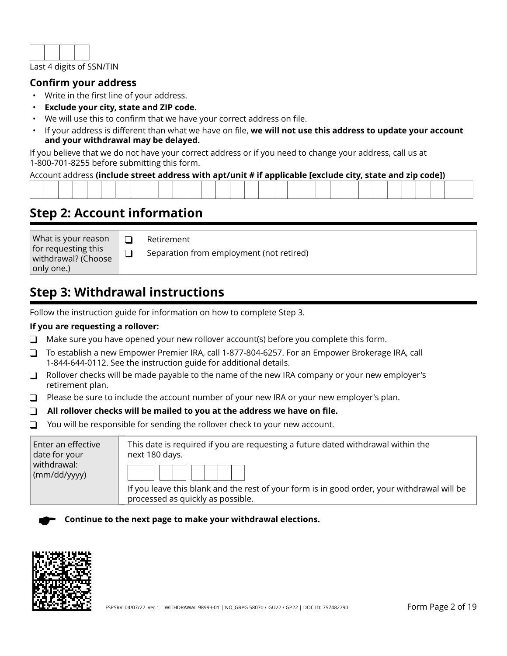

## **Confirm your address**

- Write in the first line of your address.
- **Exclude your city, state and ZIP code.**
- We will use this to confirm that we have your correct address on file.
- If your address is different than what we have on file, **we will not use this address to update your account and your withdrawal may be delayed.**

If you believe that we do not have your correct address or if you need to change your address, call us at 1-800-701-8255 before submitting this form.

### Account address **(include street address with apt/unit # if applicable [exclude city, state and zip code])**

| the contract of the contract of the contract of the contract of the contract of the contract of the contract of |  |  |  |  |  |  |  |  |  |  |  |  |  |  |  |
|-----------------------------------------------------------------------------------------------------------------|--|--|--|--|--|--|--|--|--|--|--|--|--|--|--|

## **Step 2: Account information**

What is your reason for requesting this withdrawal? (Choose only one.)

Retirement

Separation from employment (not retired)

## **Step 3: Withdrawal instructions**

 $\Box$  $\Box$ 

Follow the instruction guide for information on how to complete Step 3.

### **If you are requesting a rollover:**

- $\Box$  Make sure you have opened your new rollover account(s) before you complete this form.
- To establish a new Empower Premier IRA, call 1-877-804-6257. For an Empower Brokerage IRA, call 1-844-644-0112. See the instruction guide for additional details.
- $\Box$  Rollover checks will be made payable to the name of the new IRA company or your new employer's retirement plan.
- $\Box$  Please be sure to include the account number of your new IRA or your new employer's plan.
- **All rollover checks will be mailed to you at the address we have on file.**
- $\Box$  You will be responsible for sending the rollover check to your new account.

| Enter an effective<br>date for your | This date is required if you are requesting a future dated withdrawal within the<br>next 180 days.                               |
|-------------------------------------|----------------------------------------------------------------------------------------------------------------------------------|
| withdrawal:<br>(mm/dd/yyy)          |                                                                                                                                  |
|                                     | If you leave this blank and the rest of your form is in good order, your withdrawal will be<br>processed as quickly as possible. |

**Continue to the next page to make your withdrawal elections.**

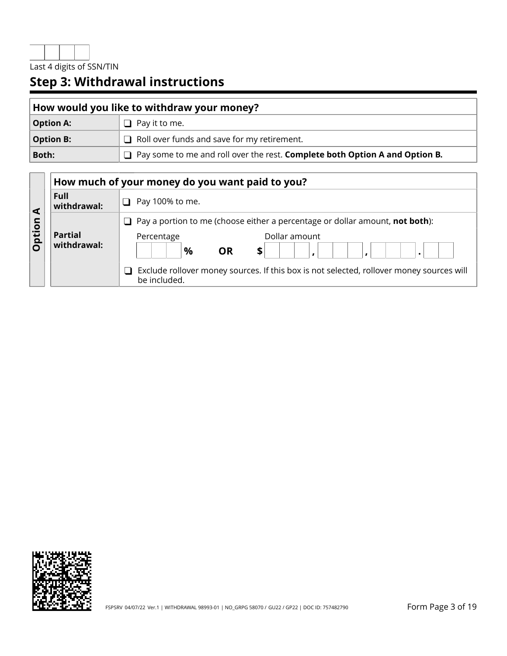

# **Step 3: Withdrawal instructions**

| How would you like to withdraw your money? |                                                                               |  |  |  |
|--------------------------------------------|-------------------------------------------------------------------------------|--|--|--|
| <b>Option A:</b>                           | $\Box$ Pay it to me.                                                          |  |  |  |
| <b>Option B:</b>                           | $\Box$ Roll over funds and save for my retirement.                            |  |  |  |
| Both:                                      | □ Pay some to me and roll over the rest. Complete both Option A and Option B. |  |  |  |

|        |                               | How much of your money do you want paid to you?                                                                                                                                                                                                                            |  |  |  |  |  |  |  |  |  |
|--------|-------------------------------|----------------------------------------------------------------------------------------------------------------------------------------------------------------------------------------------------------------------------------------------------------------------------|--|--|--|--|--|--|--|--|--|
|        | Full<br>withdrawal:           | Pay 100% to me.                                                                                                                                                                                                                                                            |  |  |  |  |  |  |  |  |  |
| Option | <b>Partial</b><br>withdrawal: | $\Box$ Pay a portion to me (choose either a percentage or dollar amount, <b>not both</b> ):<br>Dollar amount<br>Percentage<br>$\frac{0}{0}$<br><b>OR</b><br>\$<br>Exclude rollover money sources. If this box is not selected, rollover money sources will<br>be included. |  |  |  |  |  |  |  |  |  |

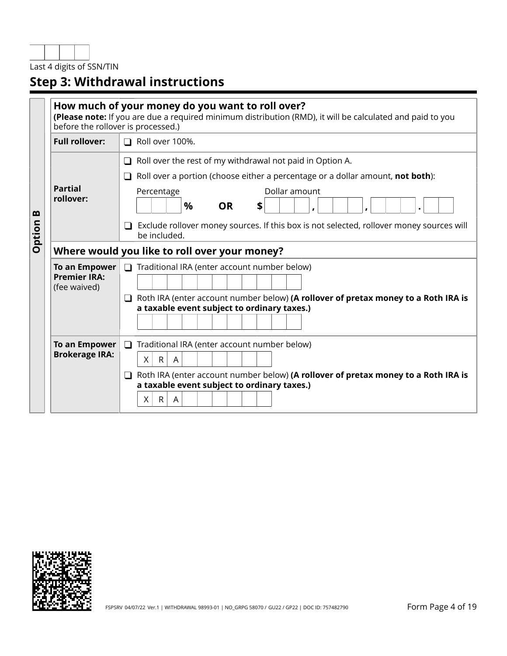Last 4 digits of SSN/TIN

# **Step 3: Withdrawal instructions**

|             | before the rollover is processed.)                   | How much of your money do you want to roll over?<br>(Please note: If you are due a required minimum distribution (RMD), it will be calculated and paid to you                                                                                                                                                                              |
|-------------|------------------------------------------------------|--------------------------------------------------------------------------------------------------------------------------------------------------------------------------------------------------------------------------------------------------------------------------------------------------------------------------------------------|
|             | <b>Full rollover:</b>                                | □ Roll over 100%.                                                                                                                                                                                                                                                                                                                          |
| m<br>Option | <b>Partial</b><br>rollover:                          | $\Box$ Roll over the rest of my withdrawal not paid in Option A.<br>Roll over a portion (choose either a percentage or a dollar amount, not both):<br>$\Box$<br>Dollar amount<br>Percentage<br>$\frac{9}{6}$<br><b>OR</b><br>S<br>Exclude rollover money sources. If this box is not selected, rollover money sources will<br>be included. |
|             |                                                      | Where would you like to roll over your money?                                                                                                                                                                                                                                                                                              |
|             | To an Empower<br><b>Premier IRA:</b><br>(fee waived) | $\Box$ Traditional IRA (enter account number below)                                                                                                                                                                                                                                                                                        |
|             |                                                      | Roth IRA (enter account number below) (A rollover of pretax money to a Roth IRA is<br>a taxable event subject to ordinary taxes.)                                                                                                                                                                                                          |
|             | To an Empower<br><b>Brokerage IRA:</b>               | Traditional IRA (enter account number below)<br>$\Box$<br>X<br>$\mathsf{R}$<br>$\overline{A}$<br>Roth IRA (enter account number below) (A rollover of pretax money to a Roth IRA is<br>ப<br>a taxable event subject to ordinary taxes.)<br>R<br>X<br>A                                                                                     |

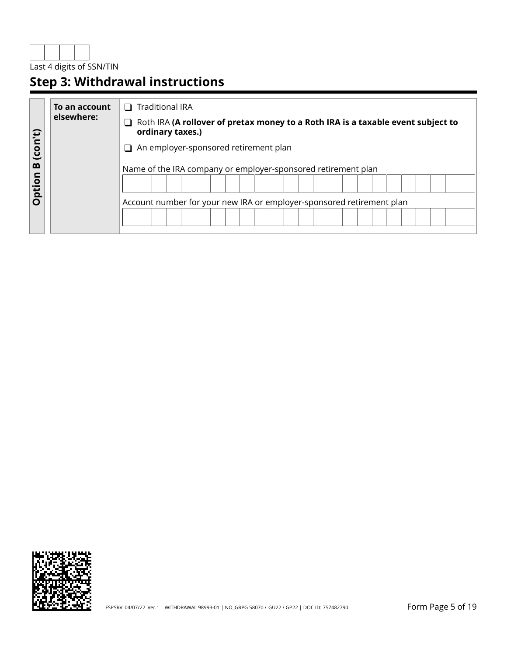

# **Step 3: Withdrawal instructions**

|              | To an account | <b>Traditional IRA</b><br>$\mathbf{I}$                                                               |
|--------------|---------------|------------------------------------------------------------------------------------------------------|
|              | elsewhere:    | Roth IRA (A rollover of pretax money to a Roth IRA is a taxable event subject to<br>ordinary taxes.) |
| (con't)<br>m |               | An employer-sponsored retirement plan                                                                |
|              |               | Name of the IRA company or employer-sponsored retirement plan                                        |
| Option       |               |                                                                                                      |
|              |               | Account number for your new IRA or employer-sponsored retirement plan                                |
|              |               |                                                                                                      |

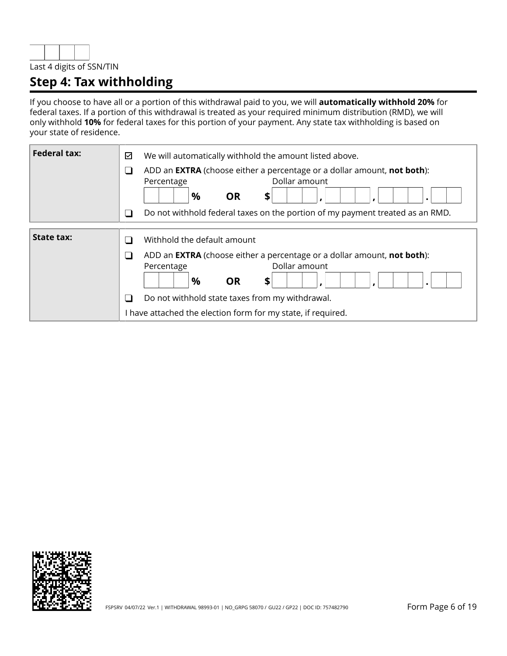

## **Step 4: Tax withholding**

If you choose to have all or a portion of this withdrawal paid to you, we will **automatically withhold 20%** for federal taxes. If a portion of this withdrawal is treated as your required minimum distribution (RMD), we will only withhold **10%** for federal taxes for this portion of your payment. Any state tax withholding is based on your state of residence.

| <b>Federal tax:</b> | We will automatically withhold the amount listed above.<br>☑<br>ADD an <b>EXTRA</b> (choose either a percentage or a dollar amount, <b>not both</b> ):<br>$\sqcup$<br>Dollar amount<br>Percentage<br>%<br><b>OR</b><br>\$                                                                                             |
|---------------------|-----------------------------------------------------------------------------------------------------------------------------------------------------------------------------------------------------------------------------------------------------------------------------------------------------------------------|
|                     | Do not withhold federal taxes on the portion of my payment treated as an RMD.<br>∩                                                                                                                                                                                                                                    |
| <b>State tax:</b>   | Withhold the default amount<br>$\sim$<br>ADD an <b>EXTRA</b> (choose either a percentage or a dollar amount, not both):<br>$\sqcup$<br>Dollar amount<br>Percentage<br>%<br><b>OR</b><br>\$<br>Do not withhold state taxes from my withdrawal.<br>$\Box$<br>have attached the election form for my state, if required. |

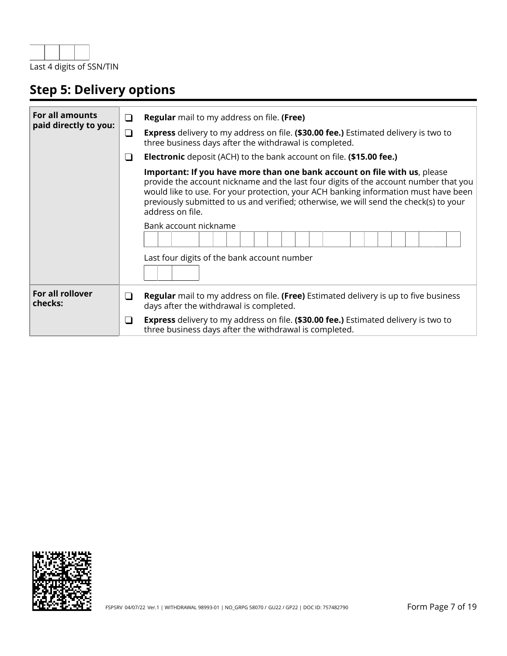

# **Step 5: Delivery options**

| <b>For all amounts</b><br>paid directly to you: | $\Box$   | <b>Regular</b> mail to my address on file. (Free)                                                                                                                                                                                                                                                                                                                     |
|-------------------------------------------------|----------|-----------------------------------------------------------------------------------------------------------------------------------------------------------------------------------------------------------------------------------------------------------------------------------------------------------------------------------------------------------------------|
|                                                 | $\sqcup$ | <b>Express</b> delivery to my address on file. (\$30.00 fee.) Estimated delivery is two to<br>three business days after the withdrawal is completed.                                                                                                                                                                                                                  |
|                                                 | ⊔        | <b>Electronic</b> deposit (ACH) to the bank account on file. (\$15.00 fee.)                                                                                                                                                                                                                                                                                           |
|                                                 |          | Important: If you have more than one bank account on file with us, please<br>provide the account nickname and the last four digits of the account number that you<br>would like to use. For your protection, your ACH banking information must have been<br>previously submitted to us and verified; otherwise, we will send the check(s) to your<br>address on file. |
|                                                 |          | Bank account nickname                                                                                                                                                                                                                                                                                                                                                 |
|                                                 |          | Last four digits of the bank account number                                                                                                                                                                                                                                                                                                                           |
| For all rollover<br>checks:                     | ⊔        | <b>Regular</b> mail to my address on file. (Free) Estimated delivery is up to five business<br>days after the withdrawal is completed.                                                                                                                                                                                                                                |
|                                                 | ⊔        | <b>Express</b> delivery to my address on file. (\$30.00 fee.) Estimated delivery is two to<br>three business days after the withdrawal is completed.                                                                                                                                                                                                                  |

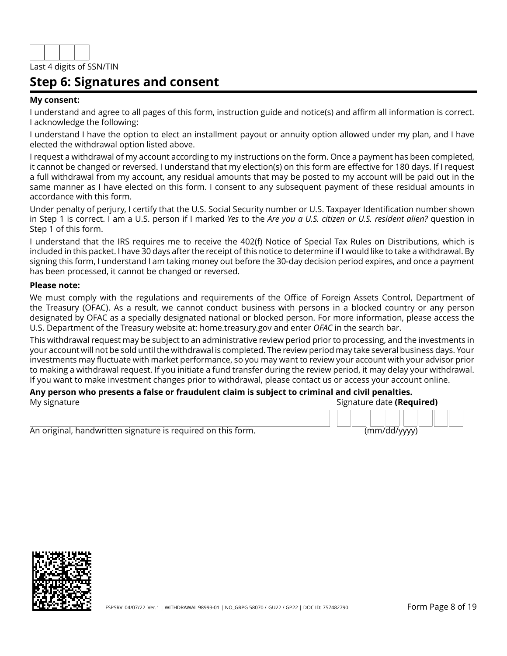

## **Step 6: Signatures and consent**

#### **My consent:**

I understand and agree to all pages of this form, instruction guide and notice(s) and affirm all information is correct. I acknowledge the following:

I understand I have the option to elect an installment payout or annuity option allowed under my plan, and I have elected the withdrawal option listed above.

I request a withdrawal of my account according to my instructions on the form. Once a payment has been completed, it cannot be changed or reversed. I understand that my election(s) on this form are effective for 180 days. If I request a full withdrawal from my account, any residual amounts that may be posted to my account will be paid out in the same manner as I have elected on this form. I consent to any subsequent payment of these residual amounts in accordance with this form.

Under penalty of perjury, I certify that the U.S. Social Security number or U.S. Taxpayer Identification number shown in Step 1 is correct. I am a U.S. person if I marked *Yes* to the *Are you a U.S. citizen or U.S. resident alien?* question in Step 1 of this form.

I understand that the IRS requires me to receive the 402(f) Notice of Special Tax Rules on Distributions, which is included in this packet. I have 30 days after the receipt of this notice to determine if I would like to take a withdrawal. By signing this form, I understand I am taking money out before the 30-day decision period expires, and once a payment has been processed, it cannot be changed or reversed.

#### **Please note:**

We must comply with the regulations and requirements of the Office of Foreign Assets Control, Department of the Treasury (OFAC). As a result, we cannot conduct business with persons in a blocked country or any person designated by OFAC as a specially designated national or blocked person. For more information, please access the U.S. Department of the Treasury website at: home.treasury.gov and enter *OFAC* in the search bar.

This withdrawal request may be subject to an administrative review period prior to processing, and the investments in your account will not be sold until the withdrawal is completed. The review period may take several business days. Your investments may fluctuate with market performance, so you may want to review your account with your advisor prior to making a withdrawal request. If you initiate a fund transfer during the review period, it may delay your withdrawal. If you want to make investment changes prior to withdrawal, please contact us or access your account online.

#### **Any person who presents a false or fraudulent claim is subject to criminal and civil penalties.** My signature Signature date **(Required)**

An original, handwritten signature is required on this form. (mm/dd/yyyy)

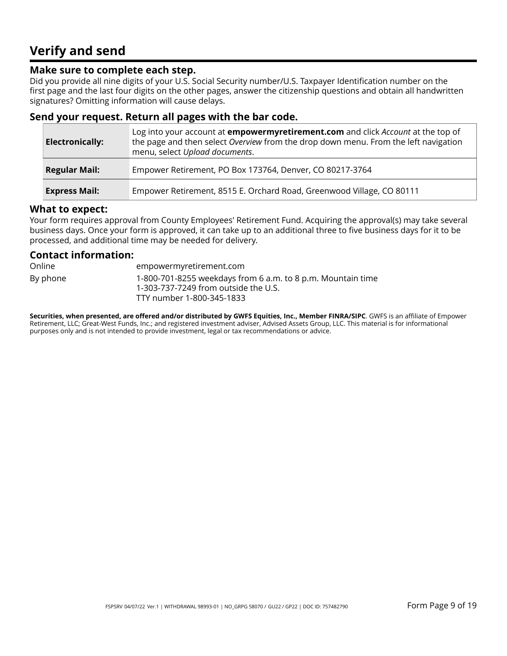## **Verify and send**

## **Make sure to complete each step.**

Did you provide all nine digits of your U.S. Social Security number/U.S. Taxpayer Identification number on the first page and the last four digits on the other pages, answer the citizenship questions and obtain all handwritten signatures? Omitting information will cause delays.

## **Send your request. Return all pages with the bar code.**

| <b>Electronically:</b> | Log into your account at <b>empowermyretirement.com</b> and click <i>Account</i> at the top of<br>the page and then select Overview from the drop down menu. From the left navigation<br>menu, select Upload documents. |
|------------------------|-------------------------------------------------------------------------------------------------------------------------------------------------------------------------------------------------------------------------|
| <b>Regular Mail:</b>   | Empower Retirement, PO Box 173764, Denver, CO 80217-3764                                                                                                                                                                |
| <b>Express Mail:</b>   | Empower Retirement, 8515 E. Orchard Road, Greenwood Village, CO 80111                                                                                                                                                   |

### **What to expect:**

Your form requires approval from County Employees' Retirement Fund. Acquiring the approval(s) may take several business days. Once your form is approved, it can take up to an additional three to five business days for it to be processed, and additional time may be needed for delivery.

### **Contact information:**

Online empowermyretirement.com By phone 1-800-701-8255 weekdays from 6 a.m. to 8 p.m. Mountain time 1-303-737-7249 from outside the U.S. TTY number 1-800-345-1833

**Securities, when presented, are offered and/or distributed by GWFS Equities, Inc., Member FINRA/SIPC**. GWFS is an affiliate of Empower Retirement, LLC; Great-West Funds, Inc.; and registered investment adviser, Advised Assets Group, LLC. This material is for informational purposes only and is not intended to provide investment, legal or tax recommendations or advice.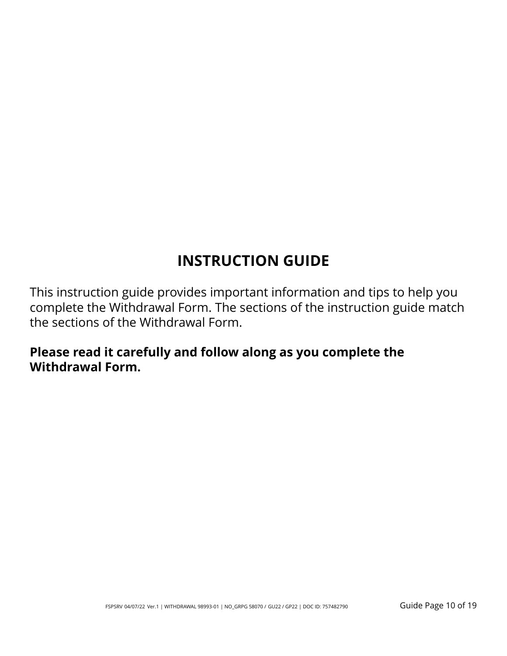# **INSTRUCTION GUIDE**

This instruction guide provides important information and tips to help you complete the Withdrawal Form. The sections of the instruction guide match the sections of the Withdrawal Form.

## **Please read it carefully and follow along as you complete the Withdrawal Form.**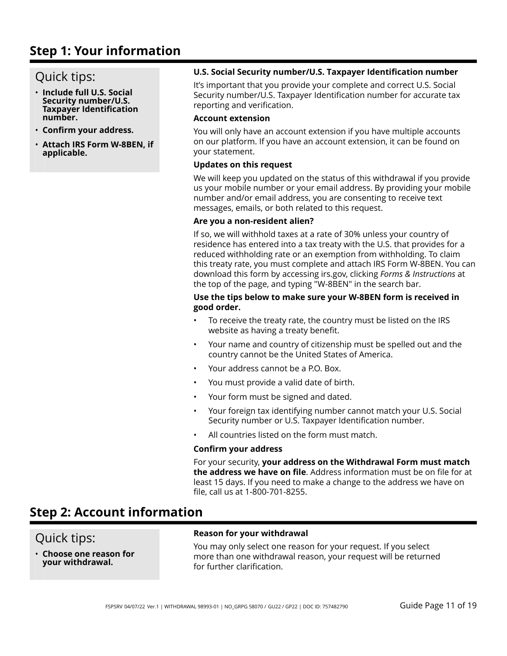## **Step 1: Your information**

## Quick tips:

- **Include full U.S. Social Security number/U.S. Taxpayer Identification number.**
- **Confirm your address.**
- **Attach IRS Form W-8BEN, if applicable.**

### **U.S. Social Security number/U.S. Taxpayer Identification number**

It's important that you provide your complete and correct U.S. Social Security number/U.S. Taxpayer Identification number for accurate tax reporting and verification.

#### **Account extension**

You will only have an account extension if you have multiple accounts on our platform. If you have an account extension, it can be found on your statement.

#### **Updates on this request**

We will keep you updated on the status of this withdrawal if you provide us your mobile number or your email address. By providing your mobile number and/or email address, you are consenting to receive text messages, emails, or both related to this request.

#### **Are you a non-resident alien?**

If so, we will withhold taxes at a rate of 30% unless your country of residence has entered into a tax treaty with the U.S. that provides for a reduced withholding rate or an exemption from withholding. To claim this treaty rate, you must complete and attach IRS Form W-8BEN. You can download this form by accessing irs.gov, clicking *Forms & Instructions* at the top of the page, and typing "W-8BEN" in the search bar.

### **Use the tips below to make sure your W-8BEN form is received in good order.**

- To receive the treaty rate, the country must be listed on the IRS website as having a treaty benefit.
- Your name and country of citizenship must be spelled out and the country cannot be the United States of America.
- Your address cannot be a P.O. Box.
- You must provide a valid date of birth.
- Your form must be signed and dated.
- Your foreign tax identifying number cannot match your U.S. Social Security number or U.S. Taxpayer Identification number.
- All countries listed on the form must match.

### **Confirm your address**

For your security, **your address on the Withdrawal Form must match the address we have on file**. Address information must be on file for at least 15 days. If you need to make a change to the address we have on file, call us at 1-800-701-8255.

## **Step 2: Account information**

## Quick tips:

• **Choose one reason for your withdrawal.**

### **Reason for your withdrawal**

You may only select one reason for your request. If you select more than one withdrawal reason, your request will be returned for further clarification.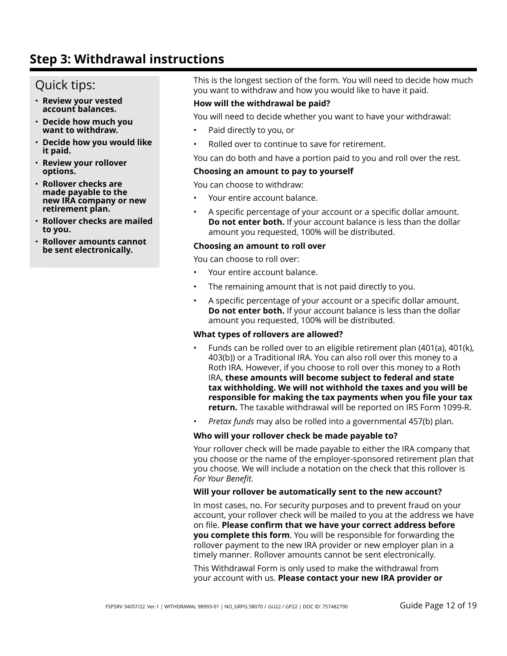## **Step 3: Withdrawal instructions**

## Quick tips:

- **Review your vested account balances.**
- **Decide how much you want to withdraw.**
- **Decide how you would like it paid.**
- **Review your rollover options.**
- **Rollover checks are made payable to the new IRA company or new retirement plan.**
- **Rollover checks are mailed to you.**
- **Rollover amounts cannot be sent electronically.**

This is the longest section of the form. You will need to decide how much you want to withdraw and how you would like to have it paid.

### **How will the withdrawal be paid?**

You will need to decide whether you want to have your withdrawal:

- Paid directly to you, or
- Rolled over to continue to save for retirement.

You can do both and have a portion paid to you and roll over the rest.

#### **Choosing an amount to pay to yourself**

You can choose to withdraw:

- Your entire account balance.
- A specific percentage of your account or a specific dollar amount. **Do not enter both.** If your account balance is less than the dollar amount you requested, 100% will be distributed.

### **Choosing an amount to roll over**

You can choose to roll over:

- Your entire account balance.
- The remaining amount that is not paid directly to you.
- A specific percentage of your account or a specific dollar amount. **Do not enter both.** If your account balance is less than the dollar amount you requested, 100% will be distributed.

#### **What types of rollovers are allowed?**

- Funds can be rolled over to an eligible retirement plan (401(a), 401(k), 403(b)) or a Traditional IRA. You can also roll over this money to a Roth IRA. However, if you choose to roll over this money to a Roth IRA, **these amounts will become subject to federal and state tax withholding. We will not withhold the taxes and you will be responsible for making the tax payments when you file your tax return.** The taxable withdrawal will be reported on IRS Form 1099-R.
- *Pretax funds* may also be rolled into a governmental 457(b) plan.

#### **Who will your rollover check be made payable to?**

Your rollover check will be made payable to either the IRA company that you choose or the name of the employer-sponsored retirement plan that you choose. We will include a notation on the check that this rollover is *For Your Benefit.*

#### **Will your rollover be automatically sent to the new account?**

In most cases, no. For security purposes and to prevent fraud on your account, your rollover check will be mailed to you at the address we have on file. **Please confirm that we have your correct address before you complete this form**. You will be responsible for forwarding the rollover payment to the new IRA provider or new employer plan in a timely manner. Rollover amounts cannot be sent electronically.

This Withdrawal Form is only used to make the withdrawal from your account with us. **Please contact your new IRA provider or**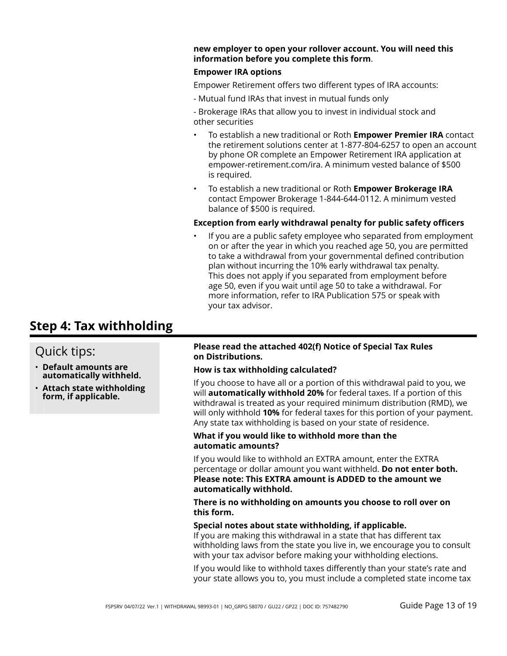#### **new employer to open your rollover account. You will need this information before you complete this form**.

#### **Empower IRA options**

Empower Retirement offers two different types of IRA accounts:

- Mutual fund IRAs that invest in mutual funds only

- Brokerage IRAs that allow you to invest in individual stock and other securities

- To establish a new traditional or Roth **Empower Premier IRA** contact the retirement solutions center at 1-877-804-6257 to open an account by phone OR complete an Empower Retirement IRA application at empower-retirement.com/ira. A minimum vested balance of \$500 is required.
- To establish a new traditional or Roth **Empower Brokerage IRA** contact Empower Brokerage 1-844-644-0112. A minimum vested balance of \$500 is required.

### **Exception from early withdrawal penalty for public safety officers**

If you are a public safety employee who separated from employment on or after the year in which you reached age 50, you are permitted to take a withdrawal from your governmental defined contribution plan without incurring the 10% early withdrawal tax penalty. This does not apply if you separated from employment before age 50, even if you wait until age 50 to take a withdrawal. For more information, refer to IRA Publication 575 or speak with your tax advisor.

## **Step 4: Tax withholding**

## Quick tips:

- **Default amounts are automatically withheld.**
- **Attach state withholding form, if applicable.**

#### **Please read the attached 402(f) Notice of Special Tax Rules on Distributions.**

### **How is tax withholding calculated?**

If you choose to have all or a portion of this withdrawal paid to you, we will **automatically withhold 20%** for federal taxes. If a portion of this withdrawal is treated as your required minimum distribution (RMD), we will only withhold **10%** for federal taxes for this portion of your payment. Any state tax withholding is based on your state of residence.

#### **What if you would like to withhold more than the automatic amounts?**

If you would like to withhold an EXTRA amount, enter the EXTRA percentage or dollar amount you want withheld. **Do not enter both. Please note: This EXTRA amount is ADDED to the amount we automatically withhold.**

**There is no withholding on amounts you choose to roll over on this form.**

#### **Special notes about state withholding, if applicable.**

If you are making this withdrawal in a state that has different tax withholding laws from the state you live in, we encourage you to consult with your tax advisor before making your withholding elections.

If you would like to withhold taxes differently than your state's rate and your state allows you to, you must include a completed state income tax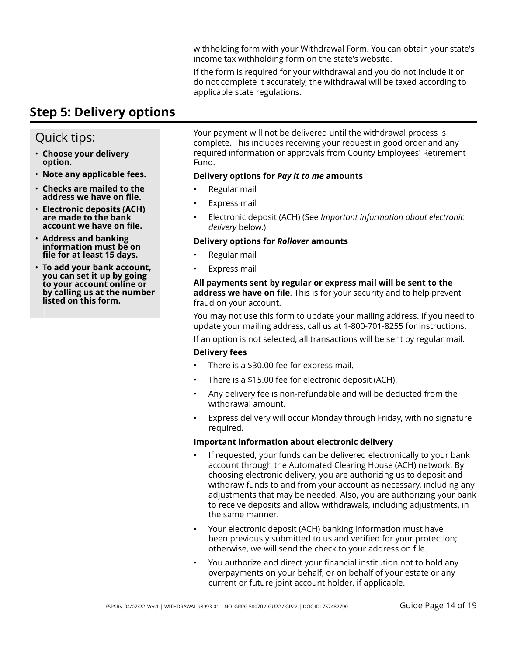withholding form with your Withdrawal Form. You can obtain your state's income tax withholding form on the state's website.

If the form is required for your withdrawal and you do not include it or do not complete it accurately, the withdrawal will be taxed according to applicable state regulations.

## **Step 5: Delivery options**

## Quick tips:

- **Choose your delivery option.**
- **Note any applicable fees.**
- **Checks are mailed to the address we have on file.**
- **Electronic deposits (ACH) are made to the bank account we have on file.**
- **Address and banking information must be on file for at least 15 days.**
- **To add your bank account, you can set it up by going to your account online or by calling us at the number listed on this form.**

Your payment will not be delivered until the withdrawal process is complete. This includes receiving your request in good order and any required information or approvals from County Employees' Retirement Fund.

### **Delivery options for** *Pay it to me* **amounts**

- Regular mail
- Express mail
- Electronic deposit (ACH) (See *Important information about electronic delivery* below.)

### **Delivery options for** *Rollover* **amounts**

- Regular mail
- Express mail

### **All payments sent by regular or express mail will be sent to the address we have on file**. This is for your security and to help prevent fraud on your account.

You may not use this form to update your mailing address. If you need to update your mailing address, call us at 1-800-701-8255 for instructions.

If an option is not selected, all transactions will be sent by regular mail.

### **Delivery fees**

- There is a \$30.00 fee for express mail.
- There is a \$15.00 fee for electronic deposit (ACH).
- Any delivery fee is non-refundable and will be deducted from the withdrawal amount.
- Express delivery will occur Monday through Friday, with no signature required.

### **Important information about electronic delivery**

- If requested, your funds can be delivered electronically to your bank account through the Automated Clearing House (ACH) network. By choosing electronic delivery, you are authorizing us to deposit and withdraw funds to and from your account as necessary, including any adjustments that may be needed. Also, you are authorizing your bank to receive deposits and allow withdrawals, including adjustments, in the same manner.
- Your electronic deposit (ACH) banking information must have been previously submitted to us and verified for your protection; otherwise, we will send the check to your address on file.
- You authorize and direct your financial institution not to hold any overpayments on your behalf, or on behalf of your estate or any current or future joint account holder, if applicable.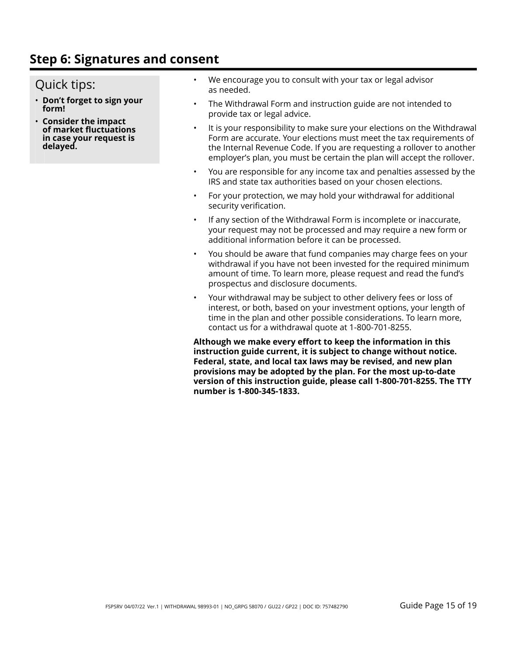## **Step 6: Signatures and consent**

## Quick tips:

- **Don't forget to sign your form!**
- **Consider the impact of market fluctuations in case your request is delayed.**
- We encourage you to consult with your tax or legal advisor as needed.
- The Withdrawal Form and instruction guide are not intended to provide tax or legal advice.
- It is your responsibility to make sure your elections on the Withdrawal Form are accurate. Your elections must meet the tax requirements of the Internal Revenue Code. If you are requesting a rollover to another employer's plan, you must be certain the plan will accept the rollover.
- You are responsible for any income tax and penalties assessed by the IRS and state tax authorities based on your chosen elections.
- For your protection, we may hold your withdrawal for additional security verification.
- If any section of the Withdrawal Form is incomplete or inaccurate, your request may not be processed and may require a new form or additional information before it can be processed.
- You should be aware that fund companies may charge fees on your withdrawal if you have not been invested for the required minimum amount of time. To learn more, please request and read the fund's prospectus and disclosure documents.
- Your withdrawal may be subject to other delivery fees or loss of interest, or both, based on your investment options, your length of time in the plan and other possible considerations. To learn more, contact us for a withdrawal quote at 1-800-701-8255.

**Although we make every effort to keep the information in this instruction guide current, it is subject to change without notice. Federal, state, and local tax laws may be revised, and new plan provisions may be adopted by the plan. For the most up-to-date version of this instruction guide, please call 1-800-701-8255. The TTY number is 1-800-345-1833.**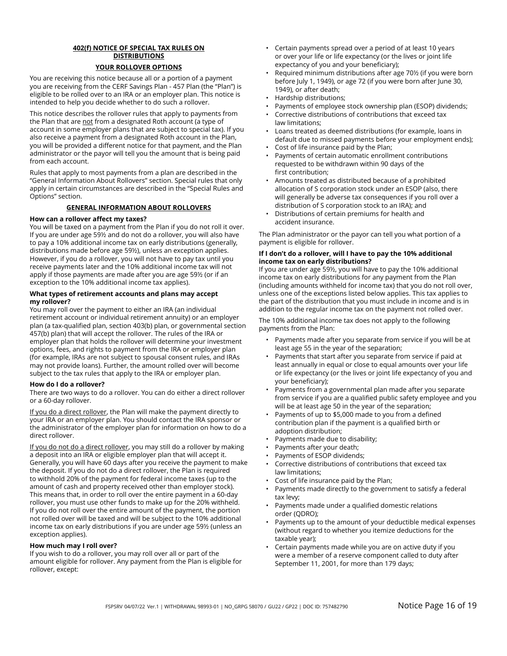### **402(f) NOTICE OF SPECIAL TAX RULES ON DISTRIBUTIONS**

#### **YOUR ROLLOVER OPTIONS**

You are receiving this notice because all or a portion of a payment you are receiving from the CERF Savings Plan - 457 Plan (the "Plan") is eligible to be rolled over to an IRA or an employer plan. This notice is intended to help you decide whether to do such a rollover.

This notice describes the rollover rules that apply to payments from the Plan that are not from a designated Roth account (a type of account in some employer plans that are subject to special tax). If you also receive a payment from a designated Roth account in the Plan, you will be provided a different notice for that payment, and the Plan administrator or the payor will tell you the amount that is being paid from each account.

Rules that apply to most payments from a plan are described in the "General Information About Rollovers" section. Special rules that only apply in certain circumstances are described in the "Special Rules and Options" section.

#### **GENERAL INFORMATION ABOUT ROLLOVERS**

#### **How can a rollover affect my taxes?**

You will be taxed on a payment from the Plan if you do not roll it over. If you are under age 59½ and do not do a rollover, you will also have to pay a 10% additional income tax on early distributions (generally, distributions made before age 59½), unless an exception applies. However, if you do a rollover, you will not have to pay tax until you receive payments later and the 10% additional income tax will not apply if those payments are made after you are age 59½ (or if an exception to the 10% additional income tax applies).

#### **What types of retirement accounts and plans may accept my rollover?**

You may roll over the payment to either an IRA (an individual retirement account or individual retirement annuity) or an employer plan (a tax-qualified plan, section 403(b) plan, or governmental section 457(b) plan) that will accept the rollover. The rules of the IRA or employer plan that holds the rollover will determine your investment options, fees, and rights to payment from the IRA or employer plan (for example, IRAs are not subject to spousal consent rules, and IRAs may not provide loans). Further, the amount rolled over will become subject to the tax rules that apply to the IRA or employer plan.

#### **How do I do a rollover?**

There are two ways to do a rollover. You can do either a direct rollover or a 60-day rollover.

If you do a direct rollover, the Plan will make the payment directly to your IRA or an employer plan. You should contact the IRA sponsor or the administrator of the employer plan for information on how to do a direct rollover.

If you do not do a direct rollover, you may still do a rollover by making a deposit into an IRA or eligible employer plan that will accept it. Generally, you will have 60 days after you receive the payment to make the deposit. If you do not do a direct rollover, the Plan is required to withhold 20% of the payment for federal income taxes (up to the amount of cash and property received other than employer stock). This means that, in order to roll over the entire payment in a 60-day rollover, you must use other funds to make up for the 20% withheld. If you do not roll over the entire amount of the payment, the portion not rolled over will be taxed and will be subject to the 10% additional income tax on early distributions if you are under age 59½ (unless an exception applies).

#### **How much may I roll over?**

If you wish to do a rollover, you may roll over all or part of the amount eligible for rollover. Any payment from the Plan is eligible for rollover, except:

- Certain payments spread over a period of at least 10 years or over your life or life expectancy (or the lives or joint life expectancy of you and your beneficiary);
- Required minimum distributions after age 70½ (if you were born before July 1, 1949), or age 72 (if you were born after June 30, 1949), or after death;
- Hardship distributions;
- Payments of employee stock ownership plan (ESOP) dividends;
- Corrective distributions of contributions that exceed tax law limitations;
- Loans treated as deemed distributions (for example, loans in default due to missed payments before your employment ends);
- Cost of life insurance paid by the Plan;
- Payments of certain automatic enrollment contributions requested to be withdrawn within 90 days of the first contribution;
- Amounts treated as distributed because of a prohibited allocation of S corporation stock under an ESOP (also, there will generally be adverse tax consequences if you roll over a distribution of S corporation stock to an IRA); and
- Distributions of certain premiums for health and accident insurance.

The Plan administrator or the payor can tell you what portion of a payment is eligible for rollover.

#### **If I don't do a rollover, will I have to pay the 10% additional income tax on early distributions?**

If you are under age 59½, you will have to pay the 10% additional income tax on early distributions for any payment from the Plan (including amounts withheld for income tax) that you do not roll over, unless one of the exceptions listed below applies. This tax applies to the part of the distribution that you must include in income and is in addition to the regular income tax on the payment not rolled over.

The 10% additional income tax does not apply to the following payments from the Plan:

- Payments made after you separate from service if you will be at least age 55 in the year of the separation;
- Payments that start after you separate from service if paid at least annually in equal or close to equal amounts over your life or life expectancy (or the lives or joint life expectancy of you and your beneficiary);
- Payments from a governmental plan made after you separate from service if you are a qualified public safety employee and you will be at least age 50 in the year of the separation;
- Payments of up to \$5,000 made to you from a defined contribution plan if the payment is a qualified birth or adoption distribution;
- Payments made due to disability;
- Payments after your death;
- Payments of ESOP dividends;
- Corrective distributions of contributions that exceed tax law limitations;
- Cost of life insurance paid by the Plan;
- Payments made directly to the government to satisfy a federal tax levy;
- Payments made under a qualified domestic relations order (QDRO);
- Payments up to the amount of your deductible medical expenses (without regard to whether you itemize deductions for the taxable year);
- Certain payments made while you are on active duty if you were a member of a reserve component called to duty after September 11, 2001, for more than 179 days;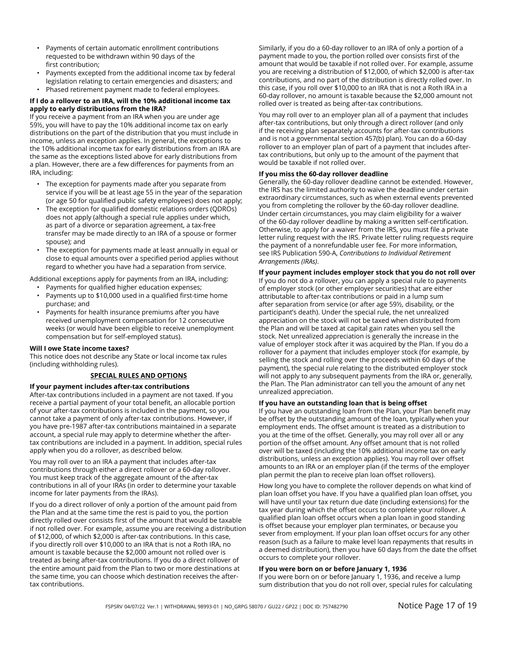- Payments of certain automatic enrollment contributions requested to be withdrawn within 90 days of the first contribution;
- Payments excepted from the additional income tax by federal legislation relating to certain emergencies and disasters; and
- Phased retirement payment made to federal employees.

#### **If I do a rollover to an IRA, will the 10% additional income tax apply to early distributions from the IRA?**

If you receive a payment from an IRA when you are under age 59½, you will have to pay the 10% additional income tax on early distributions on the part of the distribution that you must include in income, unless an exception applies. In general, the exceptions to the 10% additional income tax for early distributions from an IRA are the same as the exceptions listed above for early distributions from a plan. However, there are a few differences for payments from an IRA, including:

- The exception for payments made after you separate from service if you will be at least age 55 in the year of the separation (or age 50 for qualified public safety employees) does not apply;
- The exception for qualified domestic relations orders (QDROs) does not apply (although a special rule applies under which, as part of a divorce or separation agreement, a tax-free transfer may be made directly to an IRA of a spouse or former spouse); and
- The exception for payments made at least annually in equal or close to equal amounts over a specified period applies without regard to whether you have had a separation from service.

Additional exceptions apply for payments from an IRA, including:

- Payments for qualified higher education expenses;
- Payments up to \$10,000 used in a qualified first-time home purchase; and
- Payments for health insurance premiums after you have received unemployment compensation for 12 consecutive weeks (or would have been eligible to receive unemployment compensation but for self-employed status).

#### **Will I owe State income taxes?**

This notice does not describe any State or local income tax rules (including withholding rules).

#### **SPECIAL RULES AND OPTIONS**

#### **If your payment includes after-tax contributions**

After-tax contributions included in a payment are not taxed. If you receive a partial payment of your total benefit, an allocable portion of your after-tax contributions is included in the payment, so you cannot take a payment of only after-tax contributions. However, if you have pre-1987 after-tax contributions maintained in a separate account, a special rule may apply to determine whether the aftertax contributions are included in a payment. In addition, special rules apply when you do a rollover, as described below.

You may roll over to an IRA a payment that includes after-tax contributions through either a direct rollover or a 60-day rollover. You must keep track of the aggregate amount of the after-tax contributions in all of your IRAs (in order to determine your taxable income for later payments from the IRAs).

If you do a direct rollover of only a portion of the amount paid from the Plan and at the same time the rest is paid to you, the portion directly rolled over consists first of the amount that would be taxable if not rolled over. For example, assume you are receiving a distribution of \$12,000, of which \$2,000 is after-tax contributions. In this case, if you directly roll over \$10,000 to an IRA that is not a Roth IRA, no amount is taxable because the \$2,000 amount not rolled over is treated as being after-tax contributions. If you do a direct rollover of the entire amount paid from the Plan to two or more destinations at the same time, you can choose which destination receives the aftertax contributions.

Similarly, if you do a 60-day rollover to an IRA of only a portion of a payment made to you, the portion rolled over consists first of the amount that would be taxable if not rolled over. For example, assume you are receiving a distribution of \$12,000, of which \$2,000 is after-tax contributions, and no part of the distribution is directly rolled over. In this case, if you roll over \$10,000 to an IRA that is not a Roth IRA in a 60-day rollover, no amount is taxable because the \$2,000 amount not rolled over is treated as being after-tax contributions.

You may roll over to an employer plan all of a payment that includes after-tax contributions, but only through a direct rollover (and only if the receiving plan separately accounts for after-tax contributions and is not a governmental section 457(b) plan). You can do a 60-day rollover to an employer plan of part of a payment that includes aftertax contributions, but only up to the amount of the payment that would be taxable if not rolled over.

#### **If you miss the 60-day rollover deadline**

Generally, the 60-day rollover deadline cannot be extended. However, the IRS has the limited authority to waive the deadline under certain extraordinary circumstances, such as when external events prevented you from completing the rollover by the 60-day rollover deadline. Under certain circumstances, you may claim eligibility for a waiver of the 60-day rollover deadline by making a written self-certification. Otherwise, to apply for a waiver from the IRS, you must file a private letter ruling request with the IRS. Private letter ruling requests require the payment of a nonrefundable user fee. For more information, see IRS Publication 590-A, *Contributions to Individual Retirement Arrangements (IRAs)*.

#### **If your payment includes employer stock that you do not roll over**

If you do not do a rollover, you can apply a special rule to payments of employer stock (or other employer securities) that are either attributable to after-tax contributions or paid in a lump sum after separation from service (or after age 59½, disability, or the participant's death). Under the special rule, the net unrealized appreciation on the stock will not be taxed when distributed from the Plan and will be taxed at capital gain rates when you sell the stock. Net unrealized appreciation is generally the increase in the value of employer stock after it was acquired by the Plan. If you do a rollover for a payment that includes employer stock (for example, by selling the stock and rolling over the proceeds within 60 days of the payment), the special rule relating to the distributed employer stock will not apply to any subsequent payments from the IRA or, generally, the Plan. The Plan administrator can tell you the amount of any net unrealized appreciation.

#### **If you have an outstanding loan that is being offset**

If you have an outstanding loan from the Plan, your Plan benefit may be offset by the outstanding amount of the loan, typically when your employment ends. The offset amount is treated as a distribution to you at the time of the offset. Generally, you may roll over all or any portion of the offset amount. Any offset amount that is not rolled over will be taxed (including the 10% additional income tax on early distributions, unless an exception applies). You may roll over offset amounts to an IRA or an employer plan (if the terms of the employer plan permit the plan to receive plan loan offset rollovers).

How long you have to complete the rollover depends on what kind of plan loan offset you have. If you have a qualified plan loan offset, you will have until your tax return due date (including extensions) for the tax year during which the offset occurs to complete your rollover. A qualified plan loan offset occurs when a plan loan in good standing is offset because your employer plan terminates, or because you sever from employment. If your plan loan offset occurs for any other reason (such as a failure to make level loan repayments that results in a deemed distribution), then you have 60 days from the date the offset occurs to complete your rollover.

#### **If you were born on or before January 1, 1936**

If you were born on or before January 1, 1936, and receive a lump sum distribution that you do not roll over, special rules for calculating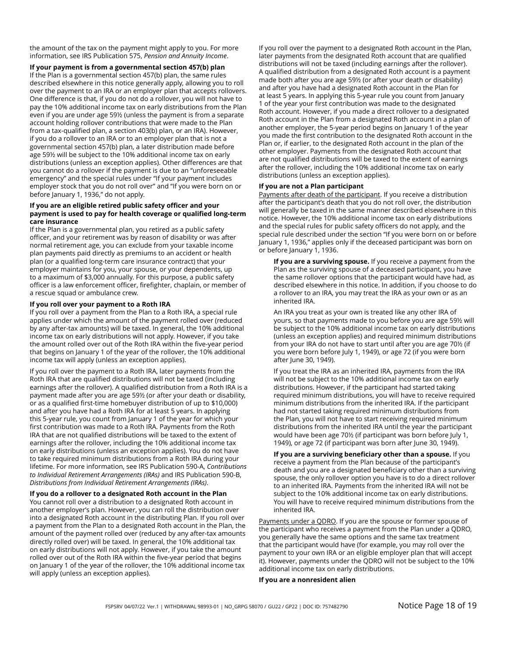the amount of the tax on the payment might apply to you. For more information, see IRS Publication 575, *Pension and Annuity Income*.

**If your payment is from a governmental section 457(b) plan** If the Plan is a governmental section 457(b) plan, the same rules described elsewhere in this notice generally apply, allowing you to roll over the payment to an IRA or an employer plan that accepts rollovers. One difference is that, if you do not do a rollover, you will not have to pay the 10% additional income tax on early distributions from the Plan even if you are under age 59½ (unless the payment is from a separate account holding rollover contributions that were made to the Plan from a tax-qualified plan, a section 403(b) plan, or an IRA). However, if you do a rollover to an IRA or to an employer plan that is not a governmental section 457(b) plan, a later distribution made before age 59½ will be subject to the 10% additional income tax on early distributions (unless an exception applies). Other differences are that you cannot do a rollover if the payment is due to an "unforeseeable emergency" and the special rules under "If your payment includes employer stock that you do not roll over" and "If you were born on or before January 1, 1936," do not apply.

#### **If you are an eligible retired public safety officer and your payment is used to pay for health coverage or qualified long-term care insurance**

If the Plan is a governmental plan, you retired as a public safety officer, and your retirement was by reason of disability or was after normal retirement age, you can exclude from your taxable income plan payments paid directly as premiums to an accident or health plan (or a qualified long-term care insurance contract) that your employer maintains for you, your spouse, or your dependents, up to a maximum of \$3,000 annually. For this purpose, a public safety officer is a law enforcement officer, firefighter, chaplain, or member of a rescue squad or ambulance crew.

#### **If you roll over your payment to a Roth IRA**

If you roll over a payment from the Plan to a Roth IRA, a special rule applies under which the amount of the payment rolled over (reduced by any after-tax amounts) will be taxed. In general, the 10% additional income tax on early distributions will not apply. However, if you take the amount rolled over out of the Roth IRA within the five-year period that begins on January 1 of the year of the rollover, the 10% additional income tax will apply (unless an exception applies).

If you roll over the payment to a Roth IRA, later payments from the Roth IRA that are qualified distributions will not be taxed (including earnings after the rollover). A qualified distribution from a Roth IRA is a payment made after you are age 59½ (or after your death or disability, or as a qualified first-time homebuyer distribution of up to \$10,000) and after you have had a Roth IRA for at least 5 years. In applying this 5-year rule, you count from January 1 of the year for which your first contribution was made to a Roth IRA. Payments from the Roth IRA that are not qualified distributions will be taxed to the extent of earnings after the rollover, including the 10% additional income tax on early distributions (unless an exception applies). You do not have to take required minimum distributions from a Roth IRA during your lifetime. For more information, see IRS Publication 590-A, *Contributions to Individual Retirement Arrangements (IRAs)* and IRS Publication 590-B, *Distributions from Individual Retirement Arrangements (IRAs)*.

**If you do a rollover to a designated Roth account in the Plan** You cannot roll over a distribution to a designated Roth account in another employer's plan. However, you can roll the distribution over into a designated Roth account in the distributing Plan. If you roll over a payment from the Plan to a designated Roth account in the Plan, the amount of the payment rolled over (reduced by any after-tax amounts directly rolled over) will be taxed. In general, the 10% additional tax on early distributions will not apply. However, if you take the amount rolled over out of the Roth IRA within the five-year period that begins on January 1 of the year of the rollover, the 10% additional income tax will apply (unless an exception applies).

If you roll over the payment to a designated Roth account in the Plan, later payments from the designated Roth account that are qualified distributions will not be taxed (including earnings after the rollover). A qualified distribution from a designated Roth account is a payment made both after you are age 59½ (or after your death or disability) and after you have had a designated Roth account in the Plan for at least 5 years. In applying this 5-year rule you count from January 1 of the year your first contribution was made to the designated Roth account. However, if you made a direct rollover to a designated Roth account in the Plan from a designated Roth account in a plan of another employer, the 5-year period begins on January 1 of the year you made the first contribution to the designated Roth account in the Plan or, if earlier, to the designated Roth account in the plan of the other employer. Payments from the designated Roth account that are not qualified distributions will be taxed to the extent of earnings after the rollover, including the 10% additional income tax on early distributions (unless an exception applies).

#### **If you are not a Plan participant**

Payments after death of the participant. If you receive a distribution after the participant's death that you do not roll over, the distribution will generally be taxed in the same manner described elsewhere in this notice. However, the 10% additional income tax on early distributions and the special rules for public safety officers do not apply, and the special rule described under the section "If you were born on or before January 1, 1936," applies only if the deceased participant was born on or before January 1, 1936.

**If you are a surviving spouse.** If you receive a payment from the Plan as the surviving spouse of a deceased participant, you have the same rollover options that the participant would have had, as described elsewhere in this notice. In addition, if you choose to do a rollover to an IRA, you may treat the IRA as your own or as an inherited IRA.

An IRA you treat as your own is treated like any other IRA of yours, so that payments made to you before you are age 59½ will be subject to the 10% additional income tax on early distributions (unless an exception applies) and required minimum distributions from your IRA do not have to start until after you are age 70½ (if you were born before July 1, 1949), or age 72 (if you were born after June 30, 1949).

If you treat the IRA as an inherited IRA, payments from the IRA will not be subject to the 10% additional income tax on early distributions. However, if the participant had started taking required minimum distributions, you will have to receive required minimum distributions from the inherited IRA. If the participant had not started taking required minimum distributions from the Plan, you will not have to start receiving required minimum distributions from the inherited IRA until the year the participant would have been age 70½ (if participant was born before July 1, 1949), or age 72 (if participant was born after June 30, 1949).

**If you are a surviving beneficiary other than a spouse.** If you receive a payment from the Plan because of the participant's death and you are a designated beneficiary other than a surviving spouse, the only rollover option you have is to do a direct rollover to an inherited IRA. Payments from the inherited IRA will not be subject to the 10% additional income tax on early distributions. You will have to receive required minimum distributions from the inherited IRA.

Payments under a QDRO. If you are the spouse or former spouse of the participant who receives a payment from the Plan under a QDRO, you generally have the same options and the same tax treatment that the participant would have (for example, you may roll over the payment to your own IRA or an eligible employer plan that will accept it). However, payments under the QDRO will not be subject to the 10% additional income tax on early distributions.

#### **If you are a nonresident alien**